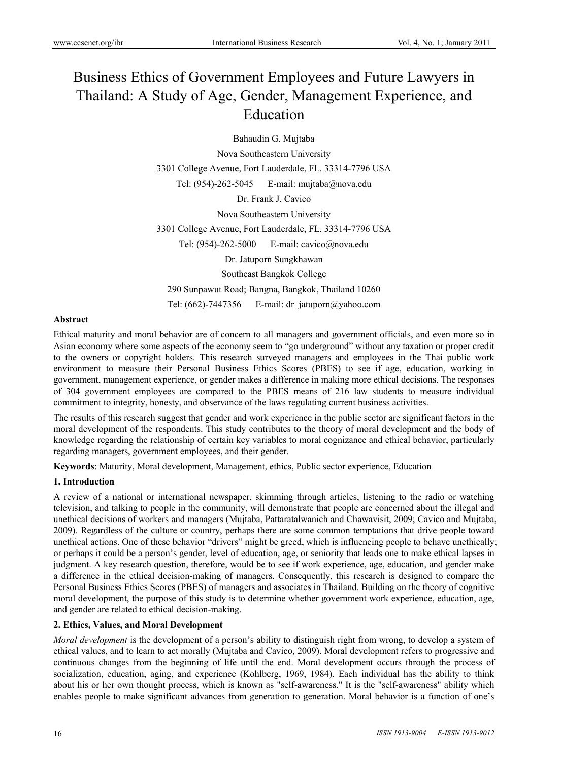# Business Ethics of Government Employees and Future Lawyers in Thailand: A Study of Age, Gender, Management Experience, and Education

Bahaudin G. Mujtaba

Nova Southeastern University 3301 College Avenue, Fort Lauderdale, FL. 33314-7796 USA Tel: (954)-262-5045 E-mail: mujtaba@nova.edu Dr. Frank J. Cavico Nova Southeastern University 3301 College Avenue, Fort Lauderdale, FL. 33314-7796 USA Tel: (954)-262-5000 E-mail: cavico@nova.edu Dr. Jatuporn Sungkhawan Southeast Bangkok College 290 Sunpawut Road; Bangna, Bangkok, Thailand 10260 Tel: (662)-7447356 E-mail: dr jatuporn@yahoo.com

## **Abstract**

Ethical maturity and moral behavior are of concern to all managers and government officials, and even more so in Asian economy where some aspects of the economy seem to "go underground" without any taxation or proper credit to the owners or copyright holders. This research surveyed managers and employees in the Thai public work environment to measure their Personal Business Ethics Scores (PBES) to see if age, education, working in government, management experience, or gender makes a difference in making more ethical decisions. The responses of 304 government employees are compared to the PBES means of 216 law students to measure individual commitment to integrity, honesty, and observance of the laws regulating current business activities.

The results of this research suggest that gender and work experience in the public sector are significant factors in the moral development of the respondents. This study contributes to the theory of moral development and the body of knowledge regarding the relationship of certain key variables to moral cognizance and ethical behavior, particularly regarding managers, government employees, and their gender.

**Keywords**: Maturity, Moral development, Management, ethics, Public sector experience, Education

## **1. Introduction**

A review of a national or international newspaper, skimming through articles, listening to the radio or watching television, and talking to people in the community, will demonstrate that people are concerned about the illegal and unethical decisions of workers and managers (Mujtaba, Pattaratalwanich and Chawavisit, 2009; Cavico and Mujtaba, 2009). Regardless of the culture or country, perhaps there are some common temptations that drive people toward unethical actions. One of these behavior "drivers" might be greed, which is influencing people to behave unethically; or perhaps it could be a person's gender, level of education, age, or seniority that leads one to make ethical lapses in judgment. A key research question, therefore, would be to see if work experience, age, education, and gender make a difference in the ethical decision-making of managers. Consequently, this research is designed to compare the Personal Business Ethics Scores (PBES) of managers and associates in Thailand. Building on the theory of cognitive moral development, the purpose of this study is to determine whether government work experience, education, age, and gender are related to ethical decision-making.

## **2. Ethics, Values, and Moral Development**

*Moral development* is the development of a person's ability to distinguish right from wrong, to develop a system of ethical values, and to learn to act morally (Mujtaba and Cavico, 2009). Moral development refers to progressive and continuous changes from the beginning of life until the end. Moral development occurs through the process of socialization, education, aging, and experience (Kohlberg, 1969, 1984). Each individual has the ability to think about his or her own thought process, which is known as "self-awareness." It is the "self-awareness" ability which enables people to make significant advances from generation to generation. Moral behavior is a function of one's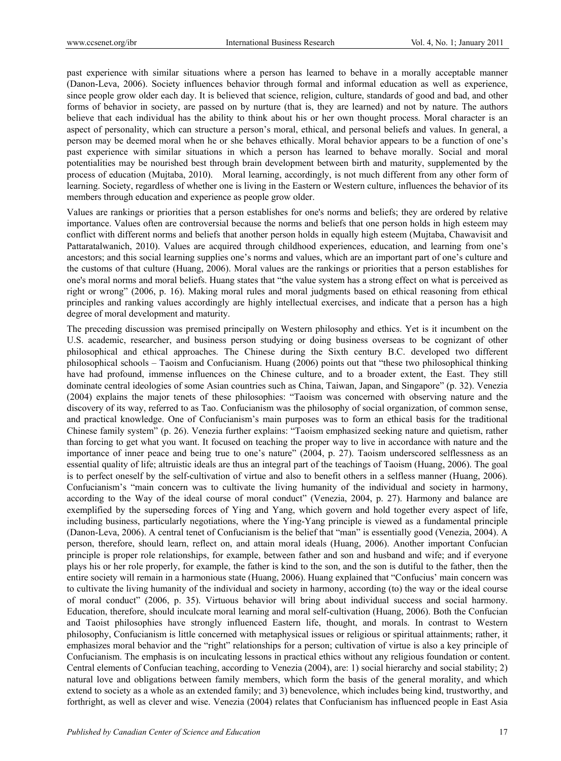past experience with similar situations where a person has learned to behave in a morally acceptable manner (Danon-Leva, 2006). Society influences behavior through formal and informal education as well as experience, since people grow older each day. It is believed that science, religion, culture, standards of good and bad, and other forms of behavior in society, are passed on by nurture (that is, they are learned) and not by nature. The authors believe that each individual has the ability to think about his or her own thought process. Moral character is an aspect of personality, which can structure a person's moral, ethical, and personal beliefs and values. In general, a person may be deemed moral when he or she behaves ethically. Moral behavior appears to be a function of one's past experience with similar situations in which a person has learned to behave morally. Social and moral potentialities may be nourished best through brain development between birth and maturity, supplemented by the process of education (Mujtaba, 2010). Moral learning, accordingly, is not much different from any other form of learning. Society, regardless of whether one is living in the Eastern or Western culture, influences the behavior of its members through education and experience as people grow older.

Values are rankings or priorities that a person establishes for one's norms and beliefs; they are ordered by relative importance. Values often are controversial because the norms and beliefs that one person holds in high esteem may conflict with different norms and beliefs that another person holds in equally high esteem (Mujtaba, Chawavisit and Pattaratalwanich, 2010). Values are acquired through childhood experiences, education, and learning from one's ancestors; and this social learning supplies one's norms and values, which are an important part of one's culture and the customs of that culture (Huang, 2006). Moral values are the rankings or priorities that a person establishes for one's moral norms and moral beliefs. Huang states that "the value system has a strong effect on what is perceived as right or wrong" (2006, p. 16). Making moral rules and moral judgments based on ethical reasoning from ethical principles and ranking values accordingly are highly intellectual exercises, and indicate that a person has a high degree of moral development and maturity.

The preceding discussion was premised principally on Western philosophy and ethics. Yet is it incumbent on the U.S. academic, researcher, and business person studying or doing business overseas to be cognizant of other philosophical and ethical approaches. The Chinese during the Sixth century B.C. developed two different philosophical schools – Taoism and Confucianism. Huang (2006) points out that "these two philosophical thinking have had profound, immense influences on the Chinese culture, and to a broader extent, the East. They still dominate central ideologies of some Asian countries such as China, Taiwan, Japan, and Singapore" (p. 32). Venezia (2004) explains the major tenets of these philosophies: "Taoism was concerned with observing nature and the discovery of its way, referred to as Tao. Confucianism was the philosophy of social organization, of common sense, and practical knowledge. One of Confucianism's main purposes was to form an ethical basis for the traditional Chinese family system" (p. 26). Venezia further explains: "Taoism emphasized seeking nature and quietism, rather than forcing to get what you want. It focused on teaching the proper way to live in accordance with nature and the importance of inner peace and being true to one's nature" (2004, p. 27). Taoism underscored selflessness as an essential quality of life; altruistic ideals are thus an integral part of the teachings of Taoism (Huang, 2006). The goal is to perfect oneself by the self-cultivation of virtue and also to benefit others in a selfless manner (Huang, 2006). Confucianism's "main concern was to cultivate the living humanity of the individual and society in harmony, according to the Way of the ideal course of moral conduct" (Venezia, 2004, p. 27). Harmony and balance are exemplified by the superseding forces of Ying and Yang, which govern and hold together every aspect of life, including business, particularly negotiations, where the Ying-Yang principle is viewed as a fundamental principle (Danon-Leva, 2006). A central tenet of Confucianism is the belief that "man" is essentially good (Venezia, 2004). A person, therefore, should learn, reflect on, and attain moral ideals (Huang, 2006). Another important Confucian principle is proper role relationships, for example, between father and son and husband and wife; and if everyone plays his or her role properly, for example, the father is kind to the son, and the son is dutiful to the father, then the entire society will remain in a harmonious state (Huang, 2006). Huang explained that "Confucius' main concern was to cultivate the living humanity of the individual and society in harmony, according (to) the way or the ideal course of moral conduct" (2006, p. 35). Virtuous behavior will bring about individual success and social harmony. Education, therefore, should inculcate moral learning and moral self-cultivation (Huang, 2006). Both the Confucian and Taoist philosophies have strongly influenced Eastern life, thought, and morals. In contrast to Western philosophy, Confucianism is little concerned with metaphysical issues or religious or spiritual attainments; rather, it emphasizes moral behavior and the "right" relationships for a person; cultivation of virtue is also a key principle of Confucianism. The emphasis is on inculcating lessons in practical ethics without any religious foundation or content. Central elements of Confucian teaching, according to Venezia (2004), are: 1) social hierarchy and social stability; 2) natural love and obligations between family members, which form the basis of the general morality, and which extend to society as a whole as an extended family; and 3) benevolence, which includes being kind, trustworthy, and forthright, as well as clever and wise. Venezia (2004) relates that Confucianism has influenced people in East Asia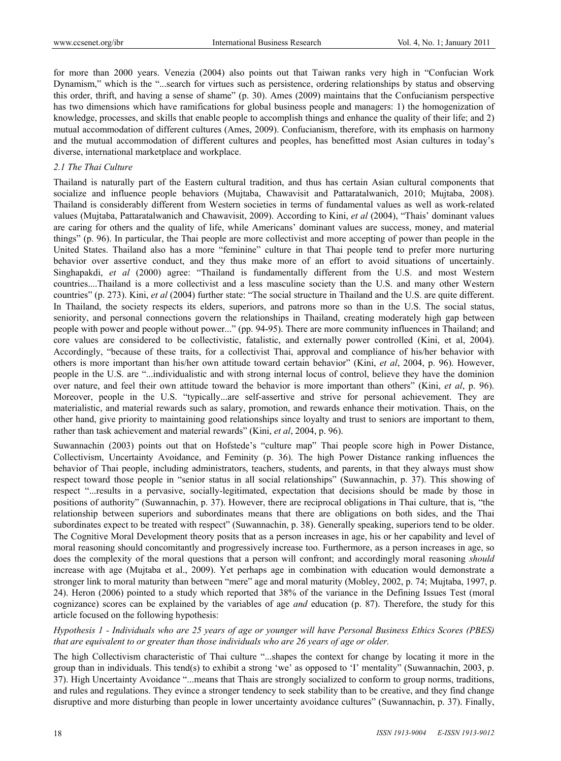for more than 2000 years. Venezia (2004) also points out that Taiwan ranks very high in "Confucian Work Dynamism," which is the "...search for virtues such as persistence, ordering relationships by status and observing this order, thrift, and having a sense of shame" (p. 30). Ames (2009) maintains that the Confucianism perspective has two dimensions which have ramifications for global business people and managers: 1) the homogenization of knowledge, processes, and skills that enable people to accomplish things and enhance the quality of their life; and 2) mutual accommodation of different cultures (Ames, 2009). Confucianism, therefore, with its emphasis on harmony and the mutual accommodation of different cultures and peoples, has benefitted most Asian cultures in today's diverse, international marketplace and workplace.

#### *2.1 The Thai Culture*

Thailand is naturally part of the Eastern cultural tradition, and thus has certain Asian cultural components that socialize and influence people behaviors (Mujtaba, Chawavisit and Pattaratalwanich, 2010; Mujtaba, 2008). Thailand is considerably different from Western societies in terms of fundamental values as well as work-related values (Mujtaba, Pattaratalwanich and Chawavisit, 2009). According to Kini, *et al* (2004), "Thais' dominant values are caring for others and the quality of life, while Americans' dominant values are success, money, and material things" (p. 96). In particular, the Thai people are more collectivist and more accepting of power than people in the United States. Thailand also has a more "feminine" culture in that Thai people tend to prefer more nurturing behavior over assertive conduct, and they thus make more of an effort to avoid situations of uncertainly. Singhapakdi, *et al* (2000) agree: "Thailand is fundamentally different from the U.S. and most Western countries....Thailand is a more collectivist and a less masculine society than the U.S. and many other Western countries" (p. 273). Kini, *et al* (2004) further state: "The social structure in Thailand and the U.S. are quite different. In Thailand, the society respects its elders, superiors, and patrons more so than in the U.S. The social status, seniority, and personal connections govern the relationships in Thailand, creating moderately high gap between people with power and people without power..." (pp. 94-95). There are more community influences in Thailand; and core values are considered to be collectivistic, fatalistic, and externally power controlled (Kini, et al, 2004). Accordingly, "because of these traits, for a collectivist Thai, approval and compliance of his/her behavior with others is more important than his/her own attitude toward certain behavior" (Kini, *et al*, 2004, p. 96). However, people in the U.S. are "...individualistic and with strong internal locus of control, believe they have the dominion over nature, and feel their own attitude toward the behavior is more important than others" (Kini, *et al*, p. 96). Moreover, people in the U.S. "typically...are self-assertive and strive for personal achievement. They are materialistic, and material rewards such as salary, promotion, and rewards enhance their motivation. Thais, on the other hand, give priority to maintaining good relationships since loyalty and trust to seniors are important to them, rather than task achievement and material rewards" (Kini, *et al*, 2004, p. 96).

Suwannachin (2003) points out that on Hofstede's "culture map" Thai people score high in Power Distance, Collectivism, Uncertainty Avoidance, and Feminity (p. 36). The high Power Distance ranking influences the behavior of Thai people, including administrators, teachers, students, and parents, in that they always must show respect toward those people in "senior status in all social relationships" (Suwannachin, p. 37). This showing of respect "...results in a pervasive, socially-legitimated, expectation that decisions should be made by those in positions of authority" (Suwannachin, p. 37). However, there are reciprocal obligations in Thai culture, that is, "the relationship between superiors and subordinates means that there are obligations on both sides, and the Thai subordinates expect to be treated with respect" (Suwannachin, p. 38). Generally speaking, superiors tend to be older. The Cognitive Moral Development theory posits that as a person increases in age, his or her capability and level of moral reasoning should concomitantly and progressively increase too. Furthermore, as a person increases in age, so does the complexity of the moral questions that a person will confront; and accordingly moral reasoning *should* increase with age (Mujtaba et al., 2009). Yet perhaps age in combination with education would demonstrate a stronger link to moral maturity than between "mere" age and moral maturity (Mobley, 2002, p. 74; Mujtaba, 1997, p. 24). Heron (2006) pointed to a study which reported that 38% of the variance in the Defining Issues Test (moral cognizance) scores can be explained by the variables of age *and* education (p. 87). Therefore, the study for this article focused on the following hypothesis:

*Hypothesis 1 - Individuals who are 25 years of age or younger will have Personal Business Ethics Scores (PBES) that are equivalent to or greater than those individuals who are 26 years of age or older.*

The high Collectivism characteristic of Thai culture "...shapes the context for change by locating it more in the group than in individuals. This tend(s) to exhibit a strong 'we' as opposed to 'I' mentality" (Suwannachin, 2003, p. 37). High Uncertainty Avoidance "...means that Thais are strongly socialized to conform to group norms, traditions, and rules and regulations. They evince a stronger tendency to seek stability than to be creative, and they find change disruptive and more disturbing than people in lower uncertainty avoidance cultures" (Suwannachin, p. 37). Finally,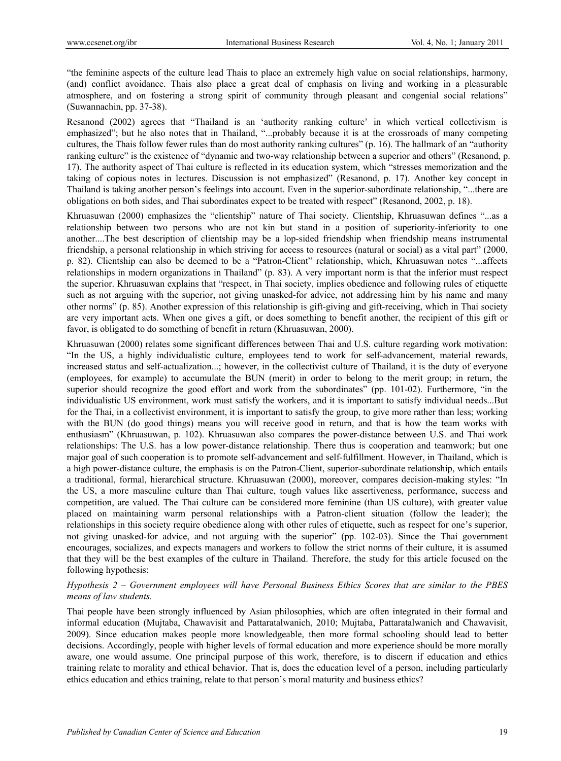"the feminine aspects of the culture lead Thais to place an extremely high value on social relationships, harmony, (and) conflict avoidance. Thais also place a great deal of emphasis on living and working in a pleasurable atmosphere, and on fostering a strong spirit of community through pleasant and congenial social relations" (Suwannachin, pp. 37-38).

Resanond (2002) agrees that "Thailand is an 'authority ranking culture' in which vertical collectivism is emphasized"; but he also notes that in Thailand, "...probably because it is at the crossroads of many competing cultures, the Thais follow fewer rules than do most authority ranking cultures" (p. 16). The hallmark of an "authority ranking culture" is the existence of "dynamic and two-way relationship between a superior and others" (Resanond, p. 17). The authority aspect of Thai culture is reflected in its education system, which "stresses memorization and the taking of copious notes in lectures. Discussion is not emphasized" (Resanond, p. 17). Another key concept in Thailand is taking another person's feelings into account. Even in the superior-subordinate relationship, "...there are obligations on both sides, and Thai subordinates expect to be treated with respect" (Resanond, 2002, p. 18).

Khruasuwan (2000) emphasizes the "clientship" nature of Thai society. Clientship, Khruasuwan defines "...as a relationship between two persons who are not kin but stand in a position of superiority-inferiority to one another....The best description of clientship may be a lop-sided friendship when friendship means instrumental friendship, a personal relationship in which striving for access to resources (natural or social) as a vital part" (2000, p. 82). Clientship can also be deemed to be a "Patron-Client" relationship, which, Khruasuwan notes "...affects relationships in modern organizations in Thailand" (p. 83). A very important norm is that the inferior must respect the superior. Khruasuwan explains that "respect, in Thai society, implies obedience and following rules of etiquette such as not arguing with the superior, not giving unasked-for advice, not addressing him by his name and many other norms" (p. 85). Another expression of this relationship is gift-giving and gift-receiving, which in Thai society are very important acts. When one gives a gift, or does something to benefit another, the recipient of this gift or favor, is obligated to do something of benefit in return (Khruasuwan, 2000).

Khruasuwan (2000) relates some significant differences between Thai and U.S. culture regarding work motivation: "In the US, a highly individualistic culture, employees tend to work for self-advancement, material rewards, increased status and self-actualization...; however, in the collectivist culture of Thailand, it is the duty of everyone (employees, for example) to accumulate the BUN (merit) in order to belong to the merit group; in return, the superior should recognize the good effort and work from the subordinates" (pp. 101-02). Furthermore, "in the individualistic US environment, work must satisfy the workers, and it is important to satisfy individual needs...But for the Thai, in a collectivist environment, it is important to satisfy the group, to give more rather than less; working with the BUN (do good things) means you will receive good in return, and that is how the team works with enthusiasm" (Khruasuwan, p. 102). Khruasuwan also compares the power-distance between U.S. and Thai work relationships: The U.S. has a low power-distance relationship. There thus is cooperation and teamwork; but one major goal of such cooperation is to promote self-advancement and self-fulfillment. However, in Thailand, which is a high power-distance culture, the emphasis is on the Patron-Client, superior-subordinate relationship, which entails a traditional, formal, hierarchical structure. Khruasuwan (2000), moreover, compares decision-making styles: "In the US, a more masculine culture than Thai culture, tough values like assertiveness, performance, success and competition, are valued. The Thai culture can be considered more feminine (than US culture), with greater value placed on maintaining warm personal relationships with a Patron-client situation (follow the leader); the relationships in this society require obedience along with other rules of etiquette, such as respect for one's superior, not giving unasked-for advice, and not arguing with the superior" (pp. 102-03). Since the Thai government encourages, socializes, and expects managers and workers to follow the strict norms of their culture, it is assumed that they will be the best examples of the culture in Thailand. Therefore, the study for this article focused on the following hypothesis:

# *Hypothesis 2 – Government employees will have Personal Business Ethics Scores that are similar to the PBES means of law students.*

Thai people have been strongly influenced by Asian philosophies, which are often integrated in their formal and informal education (Mujtaba, Chawavisit and Pattaratalwanich, 2010; Mujtaba, Pattaratalwanich and Chawavisit, 2009). Since education makes people more knowledgeable, then more formal schooling should lead to better decisions. Accordingly, people with higher levels of formal education and more experience should be more morally aware, one would assume. One principal purpose of this work, therefore, is to discern if education and ethics training relate to morality and ethical behavior. That is, does the education level of a person, including particularly ethics education and ethics training, relate to that person's moral maturity and business ethics?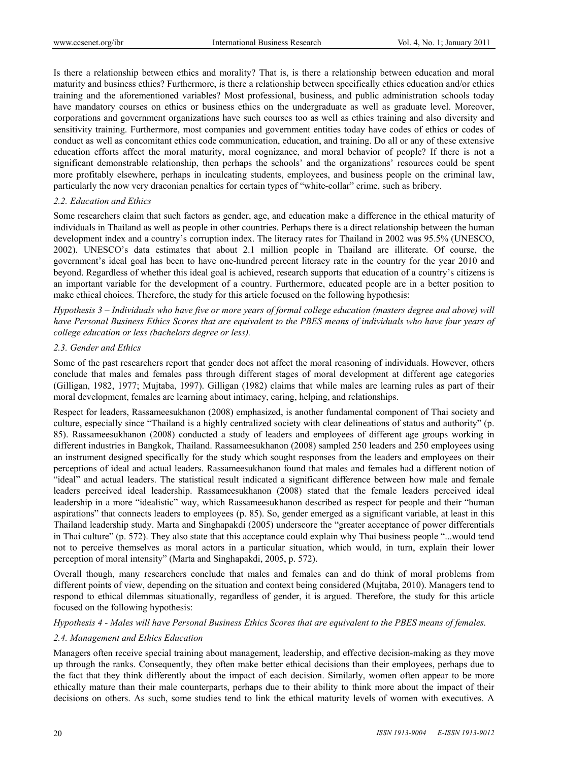Is there a relationship between ethics and morality? That is, is there a relationship between education and moral maturity and business ethics? Furthermore, is there a relationship between specifically ethics education and/or ethics training and the aforementioned variables? Most professional, business, and public administration schools today have mandatory courses on ethics or business ethics on the undergraduate as well as graduate level. Moreover, corporations and government organizations have such courses too as well as ethics training and also diversity and sensitivity training. Furthermore, most companies and government entities today have codes of ethics or codes of conduct as well as concomitant ethics code communication, education, and training. Do all or any of these extensive education efforts affect the moral maturity, moral cognizance, and moral behavior of people? If there is not a significant demonstrable relationship, then perhaps the schools' and the organizations' resources could be spent more profitably elsewhere, perhaps in inculcating students, employees, and business people on the criminal law, particularly the now very draconian penalties for certain types of "white-collar" crime, such as bribery.

## *2.2. Education and Ethics*

Some researchers claim that such factors as gender, age, and education make a difference in the ethical maturity of individuals in Thailand as well as people in other countries. Perhaps there is a direct relationship between the human development index and a country's corruption index. The literacy rates for Thailand in 2002 was 95.5% (UNESCO, 2002). UNESCO's data estimates that about 2.1 million people in Thailand are illiterate. Of course, the government's ideal goal has been to have one-hundred percent literacy rate in the country for the year 2010 and beyond. Regardless of whether this ideal goal is achieved, research supports that education of a country's citizens is an important variable for the development of a country. Furthermore, educated people are in a better position to make ethical choices. Therefore, the study for this article focused on the following hypothesis:

*Hypothesis 3 – Individuals who have five or more years of formal college education (masters degree and above) will have Personal Business Ethics Scores that are equivalent to the PBES means of individuals who have four years of college education or less (bachelors degree or less).* 

#### *2.3. Gender and Ethics*

Some of the past researchers report that gender does not affect the moral reasoning of individuals. However, others conclude that males and females pass through different stages of moral development at different age categories (Gilligan, 1982, 1977; Mujtaba, 1997). Gilligan (1982) claims that while males are learning rules as part of their moral development, females are learning about intimacy, caring, helping, and relationships.

Respect for leaders, Rassameesukhanon (2008) emphasized, is another fundamental component of Thai society and culture, especially since "Thailand is a highly centralized society with clear delineations of status and authority" (p. 85). Rassameesukhanon (2008) conducted a study of leaders and employees of different age groups working in different industries in Bangkok, Thailand. Rassameesukhanon (2008) sampled 250 leaders and 250 employees using an instrument designed specifically for the study which sought responses from the leaders and employees on their perceptions of ideal and actual leaders. Rassameesukhanon found that males and females had a different notion of "ideal" and actual leaders. The statistical result indicated a significant difference between how male and female leaders perceived ideal leadership. Rassameesukhanon (2008) stated that the female leaders perceived ideal leadership in a more "idealistic" way, which Rassameesukhanon described as respect for people and their "human aspirations" that connects leaders to employees (p. 85). So, gender emerged as a significant variable, at least in this Thailand leadership study. Marta and Singhapakdi (2005) underscore the "greater acceptance of power differentials in Thai culture" (p. 572). They also state that this acceptance could explain why Thai business people "...would tend not to perceive themselves as moral actors in a particular situation, which would, in turn, explain their lower perception of moral intensity" (Marta and Singhapakdi, 2005, p. 572).

Overall though, many researchers conclude that males and females can and do think of moral problems from different points of view, depending on the situation and context being considered (Mujtaba, 2010). Managers tend to respond to ethical dilemmas situationally, regardless of gender, it is argued. Therefore, the study for this article focused on the following hypothesis:

#### *Hypothesis 4 - Males will have Personal Business Ethics Scores that are equivalent to the PBES means of females.*

## *2.4. Management and Ethics Education*

Managers often receive special training about management, leadership, and effective decision-making as they move up through the ranks. Consequently, they often make better ethical decisions than their employees, perhaps due to the fact that they think differently about the impact of each decision. Similarly, women often appear to be more ethically mature than their male counterparts, perhaps due to their ability to think more about the impact of their decisions on others. As such, some studies tend to link the ethical maturity levels of women with executives. A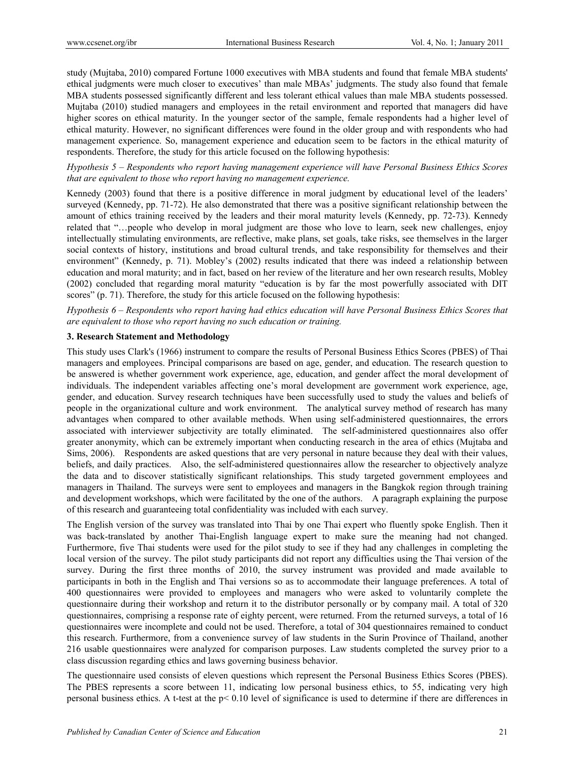study (Mujtaba, 2010) compared Fortune 1000 executives with MBA students and found that female MBA students' ethical judgments were much closer to executives' than male MBAs' judgments. The study also found that female MBA students possessed significantly different and less tolerant ethical values than male MBA students possessed. Mujtaba (2010) studied managers and employees in the retail environment and reported that managers did have higher scores on ethical maturity. In the younger sector of the sample, female respondents had a higher level of ethical maturity. However, no significant differences were found in the older group and with respondents who had management experience. So, management experience and education seem to be factors in the ethical maturity of respondents. Therefore, the study for this article focused on the following hypothesis:

*Hypothesis 5 – Respondents who report having management experience will have Personal Business Ethics Scores that are equivalent to those who report having no management experience.* 

Kennedy (2003) found that there is a positive difference in moral judgment by educational level of the leaders' surveyed (Kennedy, pp. 71-72). He also demonstrated that there was a positive significant relationship between the amount of ethics training received by the leaders and their moral maturity levels (Kennedy, pp. 72-73). Kennedy related that "…people who develop in moral judgment are those who love to learn, seek new challenges, enjoy intellectually stimulating environments, are reflective, make plans, set goals, take risks, see themselves in the larger social contexts of history, institutions and broad cultural trends, and take responsibility for themselves and their environment" (Kennedy, p. 71). Mobley's (2002) results indicated that there was indeed a relationship between education and moral maturity; and in fact, based on her review of the literature and her own research results, Mobley (2002) concluded that regarding moral maturity "education is by far the most powerfully associated with DIT scores" (p. 71). Therefore, the study for this article focused on the following hypothesis:

*Hypothesis 6 – Respondents who report having had ethics education will have Personal Business Ethics Scores that are equivalent to those who report having no such education or training.* 

# **3. Research Statement and Methodology**

This study uses Clark's (1966) instrument to compare the results of Personal Business Ethics Scores (PBES) of Thai managers and employees. Principal comparisons are based on age, gender, and education. The research question to be answered is whether government work experience, age, education, and gender affect the moral development of individuals. The independent variables affecting one's moral development are government work experience, age, gender, and education. Survey research techniques have been successfully used to study the values and beliefs of people in the organizational culture and work environment. The analytical survey method of research has many advantages when compared to other available methods. When using self-administered questionnaires, the errors associated with interviewer subjectivity are totally eliminated. The self-administered questionnaires also offer greater anonymity, which can be extremely important when conducting research in the area of ethics (Mujtaba and Sims, 2006). Respondents are asked questions that are very personal in nature because they deal with their values, beliefs, and daily practices. Also, the self-administered questionnaires allow the researcher to objectively analyze the data and to discover statistically significant relationships. This study targeted government employees and managers in Thailand. The surveys were sent to employees and managers in the Bangkok region through training and development workshops, which were facilitated by the one of the authors. A paragraph explaining the purpose of this research and guaranteeing total confidentiality was included with each survey.

The English version of the survey was translated into Thai by one Thai expert who fluently spoke English. Then it was back-translated by another Thai-English language expert to make sure the meaning had not changed. Furthermore, five Thai students were used for the pilot study to see if they had any challenges in completing the local version of the survey. The pilot study participants did not report any difficulties using the Thai version of the survey. During the first three months of 2010, the survey instrument was provided and made available to participants in both in the English and Thai versions so as to accommodate their language preferences. A total of 400 questionnaires were provided to employees and managers who were asked to voluntarily complete the questionnaire during their workshop and return it to the distributor personally or by company mail. A total of 320 questionnaires, comprising a response rate of eighty percent, were returned. From the returned surveys, a total of 16 questionnaires were incomplete and could not be used. Therefore, a total of 304 questionnaires remained to conduct this research. Furthermore, from a convenience survey of law students in the Surin Province of Thailand, another 216 usable questionnaires were analyzed for comparison purposes. Law students completed the survey prior to a class discussion regarding ethics and laws governing business behavior.

The questionnaire used consists of eleven questions which represent the Personal Business Ethics Scores (PBES). The PBES represents a score between 11, indicating low personal business ethics, to 55, indicating very high personal business ethics. A t-test at the p< 0.10 level of significance is used to determine if there are differences in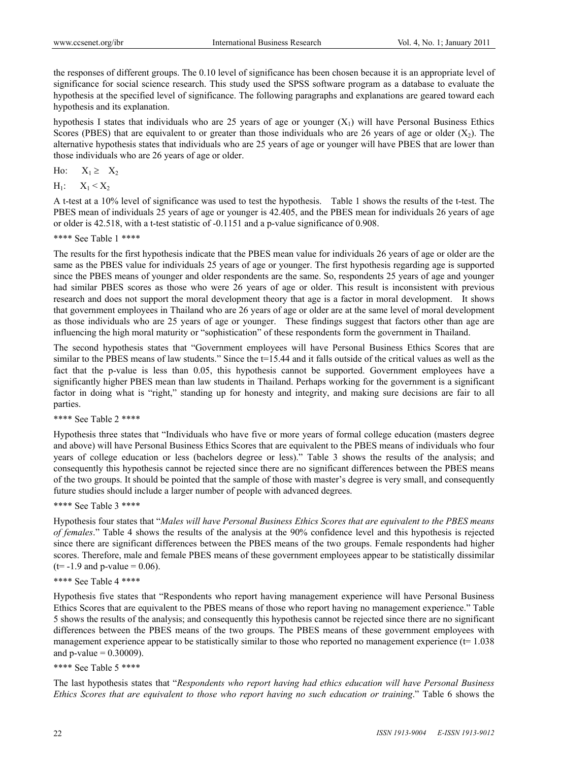the responses of different groups. The 0.10 level of significance has been chosen because it is an appropriate level of significance for social science research. This study used the SPSS software program as a database to evaluate the hypothesis at the specified level of significance. The following paragraphs and explanations are geared toward each hypothesis and its explanation.

hypothesis I states that individuals who are 25 years of age or younger  $(X_1)$  will have Personal Business Ethics Scores (PBES) that are equivalent to or greater than those individuals who are 26 years of age or older  $(X_2)$ . The alternative hypothesis states that individuals who are 25 years of age or younger will have PBES that are lower than those individuals who are 26 years of age or older.

$$
Ho: \quad X_1 \geq X_2
$$

$$
H_1\!\!:\qquad X_1\!<\!X_2
$$

A t-test at a 10% level of significance was used to test the hypothesis. Table 1 shows the results of the t-test. The PBES mean of individuals 25 years of age or younger is 42.405, and the PBES mean for individuals 26 years of age or older is 42.518, with a t-test statistic of -0.1151 and a p-value significance of 0.908.

\*\*\*\* See Table 1 \*\*\*\*

The results for the first hypothesis indicate that the PBES mean value for individuals 26 years of age or older are the same as the PBES value for individuals 25 years of age or younger. The first hypothesis regarding age is supported since the PBES means of younger and older respondents are the same. So, respondents 25 years of age and younger had similar PBES scores as those who were 26 years of age or older. This result is inconsistent with previous research and does not support the moral development theory that age is a factor in moral development. It shows that government employees in Thailand who are 26 years of age or older are at the same level of moral development as those individuals who are 25 years of age or younger. These findings suggest that factors other than age are influencing the high moral maturity or "sophistication" of these respondents form the government in Thailand.

The second hypothesis states that "Government employees will have Personal Business Ethics Scores that are similar to the PBES means of law students." Since the  $t=15.44$  and it falls outside of the critical values as well as the fact that the p-value is less than 0.05, this hypothesis cannot be supported. Government employees have a significantly higher PBES mean than law students in Thailand. Perhaps working for the government is a significant factor in doing what is "right," standing up for honesty and integrity, and making sure decisions are fair to all parties.

\*\*\*\* See Table 2 \*\*\*\*

Hypothesis three states that "Individuals who have five or more years of formal college education (masters degree and above) will have Personal Business Ethics Scores that are equivalent to the PBES means of individuals who four years of college education or less (bachelors degree or less)." Table 3 shows the results of the analysis; and consequently this hypothesis cannot be rejected since there are no significant differences between the PBES means of the two groups. It should be pointed that the sample of those with master's degree is very small, and consequently future studies should include a larger number of people with advanced degrees.

\*\*\*\* See Table 3 \*\*\*\*

Hypothesis four states that "*Males will have Personal Business Ethics Scores that are equivalent to the PBES means of females*." Table 4 shows the results of the analysis at the 90% confidence level and this hypothesis is rejected since there are significant differences between the PBES means of the two groups. Female respondents had higher scores. Therefore, male and female PBES means of these government employees appear to be statistically dissimilar  $(t= -1.9$  and p-value = 0.06).

## \*\*\*\* See Table 4 \*\*\*\*

Hypothesis five states that "Respondents who report having management experience will have Personal Business Ethics Scores that are equivalent to the PBES means of those who report having no management experience." Table 5 shows the results of the analysis; and consequently this hypothesis cannot be rejected since there are no significant differences between the PBES means of the two groups. The PBES means of these government employees with management experience appear to be statistically similar to those who reported no management experience  $(t= 1.038)$ and p-value =  $0.30009$ ).

\*\*\*\* See Table 5 \*\*\*\*

The last hypothesis states that "*Respondents who report having had ethics education will have Personal Business Ethics Scores that are equivalent to those who report having no such education or training*." Table 6 shows the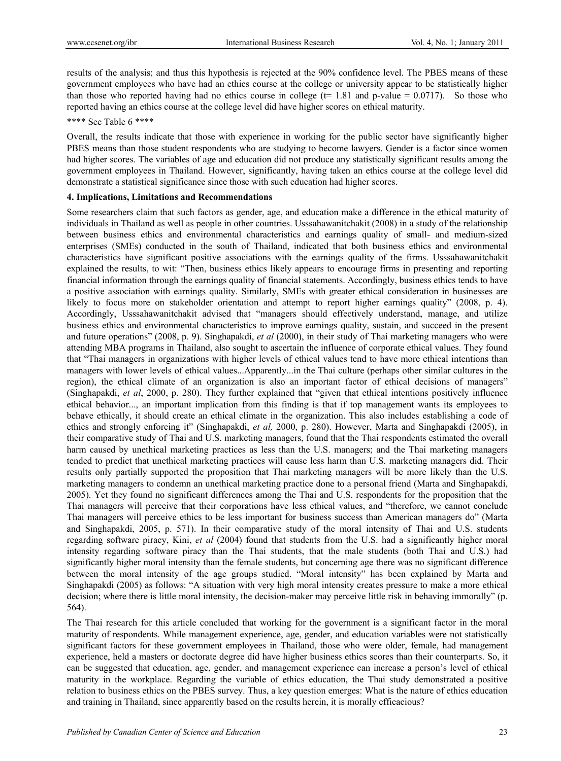results of the analysis; and thus this hypothesis is rejected at the 90% confidence level. The PBES means of these government employees who have had an ethics course at the college or university appear to be statistically higher than those who reported having had no ethics course in college  $(t= 1.81$  and p-value  $= 0.0717$ ). So those who reported having an ethics course at the college level did have higher scores on ethical maturity.

\*\*\*\* See Table 6 \*\*\*\*

Overall, the results indicate that those with experience in working for the public sector have significantly higher PBES means than those student respondents who are studying to become lawyers. Gender is a factor since women had higher scores. The variables of age and education did not produce any statistically significant results among the government employees in Thailand. However, significantly, having taken an ethics course at the college level did demonstrate a statistical significance since those with such education had higher scores.

#### **4. Implications, Limitations and Recommendations**

Some researchers claim that such factors as gender, age, and education make a difference in the ethical maturity of individuals in Thailand as well as people in other countries. Usssahawanitchakit (2008) in a study of the relationship between business ethics and environmental characteristics and earnings quality of small- and medium-sized enterprises (SMEs) conducted in the south of Thailand, indicated that both business ethics and environmental characteristics have significant positive associations with the earnings quality of the firms. Usssahawanitchakit explained the results, to wit: "Then, business ethics likely appears to encourage firms in presenting and reporting financial information through the earnings quality of financial statements. Accordingly, business ethics tends to have a positive association with earnings quality. Similarly, SMEs with greater ethical consideration in businesses are likely to focus more on stakeholder orientation and attempt to report higher earnings quality" (2008, p. 4). Accordingly, Usssahawanitchakit advised that "managers should effectively understand, manage, and utilize business ethics and environmental characteristics to improve earnings quality, sustain, and succeed in the present and future operations" (2008, p. 9). Singhapakdi, *et al* (2000), in their study of Thai marketing managers who were attending MBA programs in Thailand, also sought to ascertain the influence of corporate ethical values. They found that "Thai managers in organizations with higher levels of ethical values tend to have more ethical intentions than managers with lower levels of ethical values...Apparently...in the Thai culture (perhaps other similar cultures in the region), the ethical climate of an organization is also an important factor of ethical decisions of managers" (Singhapakdi, *et al*, 2000, p. 280). They further explained that "given that ethical intentions positively influence ethical behavior..., an important implication from this finding is that if top management wants its employees to behave ethically, it should create an ethical climate in the organization. This also includes establishing a code of ethics and strongly enforcing it" (Singhapakdi, *et al,* 2000, p. 280). However, Marta and Singhapakdi (2005), in their comparative study of Thai and U.S. marketing managers, found that the Thai respondents estimated the overall harm caused by unethical marketing practices as less than the U.S. managers; and the Thai marketing managers tended to predict that unethical marketing practices will cause less harm than U.S. marketing managers did. Their results only partially supported the proposition that Thai marketing managers will be more likely than the U.S. marketing managers to condemn an unethical marketing practice done to a personal friend (Marta and Singhapakdi, 2005). Yet they found no significant differences among the Thai and U.S. respondents for the proposition that the Thai managers will perceive that their corporations have less ethical values, and "therefore, we cannot conclude Thai managers will perceive ethics to be less important for business success than American managers do" (Marta and Singhapakdi, 2005, p. 571). In their comparative study of the moral intensity of Thai and U.S. students regarding software piracy, Kini, *et al* (2004) found that students from the U.S. had a significantly higher moral intensity regarding software piracy than the Thai students, that the male students (both Thai and U.S.) had significantly higher moral intensity than the female students, but concerning age there was no significant difference between the moral intensity of the age groups studied. "Moral intensity" has been explained by Marta and Singhapakdi (2005) as follows: "A situation with very high moral intensity creates pressure to make a more ethical decision; where there is little moral intensity, the decision-maker may perceive little risk in behaving immorally" (p. 564).

The Thai research for this article concluded that working for the government is a significant factor in the moral maturity of respondents. While management experience, age, gender, and education variables were not statistically significant factors for these government employees in Thailand, those who were older, female, had management experience, held a masters or doctorate degree did have higher business ethics scores than their counterparts. So, it can be suggested that education, age, gender, and management experience can increase a person's level of ethical maturity in the workplace. Regarding the variable of ethics education, the Thai study demonstrated a positive relation to business ethics on the PBES survey. Thus, a key question emerges: What is the nature of ethics education and training in Thailand, since apparently based on the results herein, it is morally efficacious?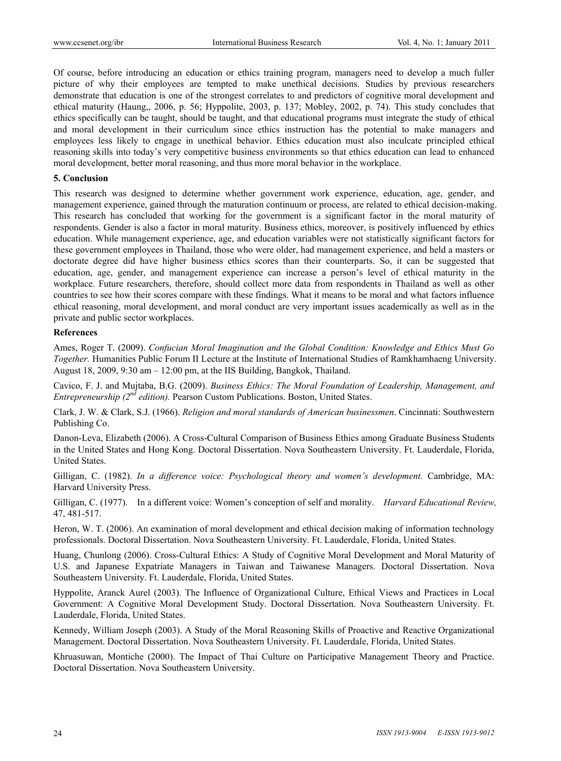Of course, before introducing an education or ethics training program, managers need to develop a much fuller picture of why their employees are tempted to make unethical decisions. Studies by previous researchers demonstrate that education is one of the strongest correlates to and predictors of cognitive moral development and ethical maturity (Haung,, 2006, p. 56; Hyppolite, 2003, p. 137; Mobley, 2002, p. 74). This study concludes that ethics specifically can be taught, should be taught, and that educational programs must integrate the study of ethical and moral development in their curriculum since ethics instruction has the potential to make managers and employees less likely to engage in unethical behavior. Ethics education must also inculcate principled ethical reasoning skills into today's very competitive business environments so that ethics education can lead to enhanced moral development, better moral reasoning, and thus more moral behavior in the workplace.

#### **5. Conclusion**

This research was designed to determine whether government work experience, education, age, gender, and management experience, gained through the maturation continuum or process, are related to ethical decision-making. This research has concluded that working for the government is a significant factor in the moral maturity of respondents. Gender is also a factor in moral maturity. Business ethics, moreover, is positively influenced by ethics education. While management experience, age, and education variables were not statistically significant factors for these government employees in Thailand, those who were older, had management experience, and held a masters or doctorate degree did have higher business ethics scores than their counterparts. So, it can be suggested that education, age, gender, and management experience can increase a person's level of ethical maturity in the workplace. Future researchers, therefore, should collect more data from respondents in Thailand as well as other countries to see how their scores compare with these findings. What it means to be moral and what factors influence ethical reasoning, moral development, and moral conduct are very important issues academically as well as in the private and public sector workplaces.

#### **References**

Ames, Roger T. (2009). *Confucian Moral Imagination and the Global Condition: Knowledge and Ethics Must Go Together.* Humanities Public Forum II Lecture at the Institute of International Studies of Ramkhamhaeng University. August 18, 2009, 9:30 am – 12:00 pm, at the IIS Building, Bangkok, Thailand.

Cavico, F. J. and Mujtaba, B.G. (2009). *Business Ethics: The Moral Foundation of Leadership, Management, and Entrepreneurship (2nd edition).* Pearson Custom Publications. Boston, United States.

Clark, J. W. & Clark, S.J. (1966). *Religion and moral standards of American businessmen*. Cincinnati: Southwestern Publishing Co.

Danon-Leva, Elizabeth (2006). A Cross-Cultural Comparison of Business Ethics among Graduate Business Students in the United States and Hong Kong. Doctoral Dissertation. Nova Southeastern University. Ft. Lauderdale, Florida, United States.

Gilligan, C. (1982). *In a difference voice: Psychological theory and women's development.* Cambridge, MA: Harvard University Press.

Gilligan, C. (1977). In a different voice: Women's conception of self and morality. *Harvard Educational Review,* 47, 481-517.

Heron, W. T. (2006). An examination of moral development and ethical decision making of information technology professionals. Doctoral Dissertation. Nova Southeastern University. Ft. Lauderdale, Florida, United States.

Huang, Chunlong (2006). Cross-Cultural Ethics: A Study of Cognitive Moral Development and Moral Maturity of U.S. and Japanese Expatriate Managers in Taiwan and Taiwanese Managers. Doctoral Dissertation. Nova Southeastern University. Ft. Lauderdale, Florida, United States.

Hyppolite, Aranck Aurel (2003). The Influence of Organizational Culture, Ethical Views and Practices in Local Government: A Cognitive Moral Development Study. Doctoral Dissertation. Nova Southeastern University. Ft. Lauderdale, Florida, United States.

Kennedy, William Joseph (2003). A Study of the Moral Reasoning Skills of Proactive and Reactive Organizational Management. Doctoral Dissertation. Nova Southeastern University. Ft. Lauderdale, Florida, United States.

Khruasuwan, Montiche (2000). The Impact of Thai Culture on Participative Management Theory and Practice. Doctoral Dissertation. Nova Southeastern University.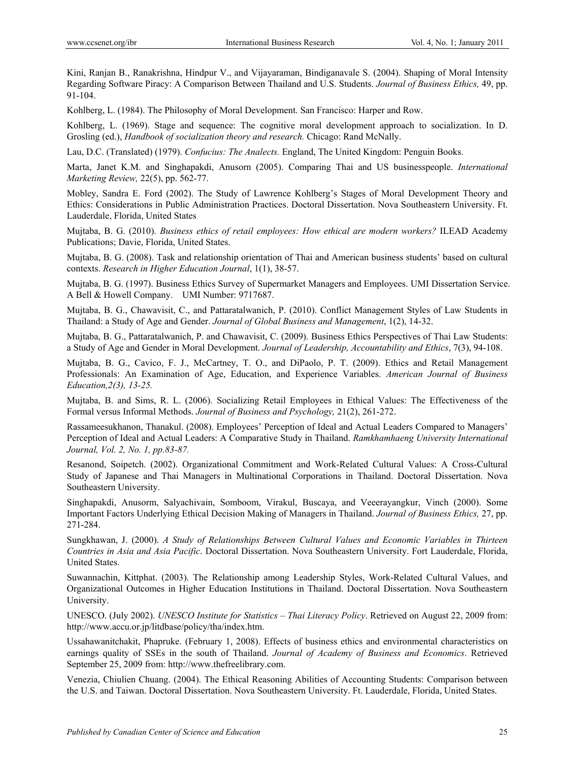Kini, Ranjan B., Ranakrishna, Hindpur V., and Vijayaraman, Bindiganavale S. (2004). Shaping of Moral Intensity Regarding Software Piracy: A Comparison Between Thailand and U.S. Students. *Journal of Business Ethics,* 49, pp. 91-104.

Kohlberg, L. (1984). The Philosophy of Moral Development. San Francisco: Harper and Row.

Kohlberg, L. (1969). Stage and sequence: The cognitive moral development approach to socialization. In D. Grosling (ed.), *Handbook of socialization theory and research.* Chicago: Rand McNally.

Lau, D.C. (Translated) (1979). *Confucius: The Analects.* England, The United Kingdom: Penguin Books.

Marta, Janet K.M. and Singhapakdi, Anusorn (2005). Comparing Thai and US businesspeople. *International Marketing Review,* 22(5), pp. 562-77.

Mobley, Sandra E. Ford (2002). The Study of Lawrence Kohlberg's Stages of Moral Development Theory and Ethics: Considerations in Public Administration Practices. Doctoral Dissertation. Nova Southeastern University. Ft. Lauderdale, Florida, United States

Mujtaba, B. G. (2010). *Business ethics of retail employees: How ethical are modern workers?* ILEAD Academy Publications; Davie, Florida, United States.

Mujtaba, B. G. (2008). Task and relationship orientation of Thai and American business students' based on cultural contexts. *Research in Higher Education Journal*, 1(1), 38-57.

Mujtaba, B. G. (1997). Business Ethics Survey of Supermarket Managers and Employees. UMI Dissertation Service. A Bell & Howell Company. UMI Number: 9717687.

Mujtaba, B. G., Chawavisit, C., and Pattaratalwanich, P. (2010). Conflict Management Styles of Law Students in Thailand: a Study of Age and Gender. *Journal of Global Business and Management*, 1(2), 14-32.

Mujtaba, B. G., Pattaratalwanich, P. and Chawavisit, C. (2009). Business Ethics Perspectives of Thai Law Students: a Study of Age and Gender in Moral Development. *Journal of Leadership, Accountability and Ethics*, 7(3), 94-108.

Mujtaba, B. G., Cavico, F. J., McCartney, T. O., and DiPaolo, P. T. (2009). Ethics and Retail Management Professionals: An Examination of Age, Education, and Experience Variables. *American Journal of Business Education,2(3), 13-25.* 

Mujtaba, B. and Sims, R. L. (2006). Socializing Retail Employees in Ethical Values: The Effectiveness of the Formal versus Informal Methods. *Journal of Business and Psychology,* 21(2), 261-272.

Rassameesukhanon, Thanakul. (2008). Employees' Perception of Ideal and Actual Leaders Compared to Managers' Perception of Ideal and Actual Leaders: A Comparative Study in Thailand. *Ramkhamhaeng University International Journal, Vol. 2, No. 1, pp.83-87.* 

Resanond, Soipetch. (2002). Organizational Commitment and Work-Related Cultural Values: A Cross-Cultural Study of Japanese and Thai Managers in Multinational Corporations in Thailand. Doctoral Dissertation. Nova Southeastern University.

Singhapakdi, Anusorm, Salyachivain, Somboom, Virakul, Buscaya, and Veeerayangkur, Vinch (2000). Some Important Factors Underlying Ethical Decision Making of Managers in Thailand. *Journal of Business Ethics,* 27, pp. 271-284.

Sungkhawan, J. (2000). *A Study of Relationships Between Cultural Values and Economic Variables in Thirteen Countries in Asia and Asia Pacific*. Doctoral Dissertation. Nova Southeastern University. Fort Lauderdale, Florida, United States.

Suwannachin, Kittphat. (2003). The Relationship among Leadership Styles, Work-Related Cultural Values, and Organizational Outcomes in Higher Education Institutions in Thailand. Doctoral Dissertation. Nova Southeastern University.

UNESCO. (July 2002). *UNESCO Institute for Statistics – Thai Literacy Policy*. Retrieved on August 22, 2009 from: http://www.accu.or.jp/litdbase/policy/tha/index.htm.

Ussahawanitchakit, Phapruke. (February 1, 2008). Effects of business ethics and environmental characteristics on earnings quality of SSEs in the south of Thailand. *Journal of Academy of Business and Economics*. Retrieved September 25, 2009 from: http://www.thefreelibrary.com.

Venezia, Chiulien Chuang. (2004). The Ethical Reasoning Abilities of Accounting Students: Comparison between the U.S. and Taiwan. Doctoral Dissertation. Nova Southeastern University. Ft. Lauderdale, Florida, United States.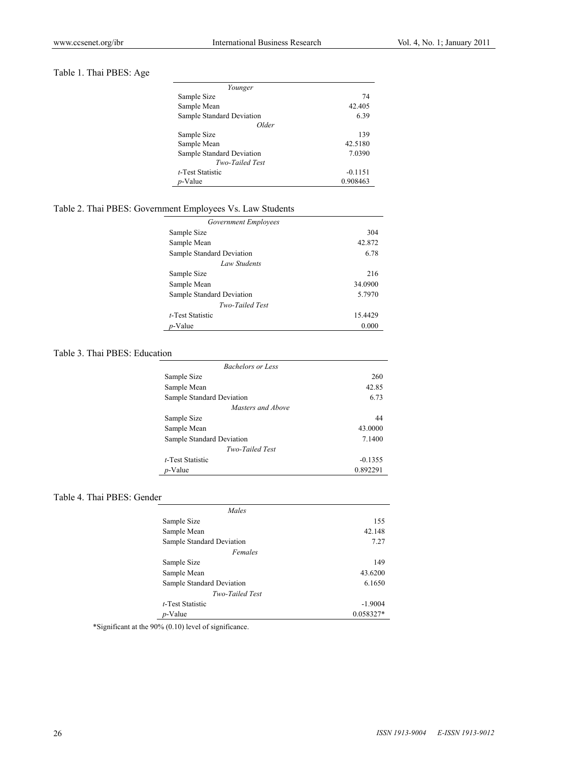# Table 1. Thai PBES: Age

| Younger                          |           |
|----------------------------------|-----------|
| Sample Size                      | 74        |
| Sample Mean                      | 42.405    |
| <b>Sample Standard Deviation</b> | 6.39      |
| Older                            |           |
| Sample Size                      | 139       |
| Sample Mean                      | 42.5180   |
| <b>Sample Standard Deviation</b> | 7.0390    |
| Two-Tailed Test                  |           |
| t-Test Statistic                 | $-0.1151$ |
| <i>p</i> -Value                  | 0.908463  |

## Table 2. Thai PBES: Government Employees Vs. Law Students

| Government Employees      |         |
|---------------------------|---------|
| Sample Size               | 304     |
| Sample Mean               | 42.872  |
| Sample Standard Deviation | 6.78    |
| Law Students              |         |
| Sample Size               | 216     |
| Sample Mean               | 34.0900 |
| Sample Standard Deviation | 5.7970  |
| Two-Tailed Test           |         |
| t-Test Statistic          | 15.4429 |
| <i>p</i> -Value           | 0.000   |

## Table 3. Thai PBES: Education

| <b>Bachelors or Less</b>  |           |
|---------------------------|-----------|
| Sample Size               | 260       |
| Sample Mean               | 42.85     |
| Sample Standard Deviation | 6.73      |
| Masters and Above         |           |
| Sample Size               | 44        |
| Sample Mean               | 43,0000   |
| Sample Standard Deviation | 7.1400    |
| Two-Tailed Test           |           |
| t-Test Statistic          | $-0.1355$ |
| $p$ -Value                | 0.892291  |

# Table 4. Thai PBES: Gender

| Males                     |           |
|---------------------------|-----------|
| Sample Size               | 155       |
| Sample Mean               | 42.148    |
| Sample Standard Deviation | 7.27      |
| Females                   |           |
| Sample Size               | 149       |
| Sample Mean               | 43.6200   |
| Sample Standard Deviation | 6.1650    |
| Two-Tailed Test           |           |
| t-Test Statistic          | $-1.9004$ |
| $p$ -Value                | 0.058327* |

\*Significant at the 90% (0.10) level of significance.